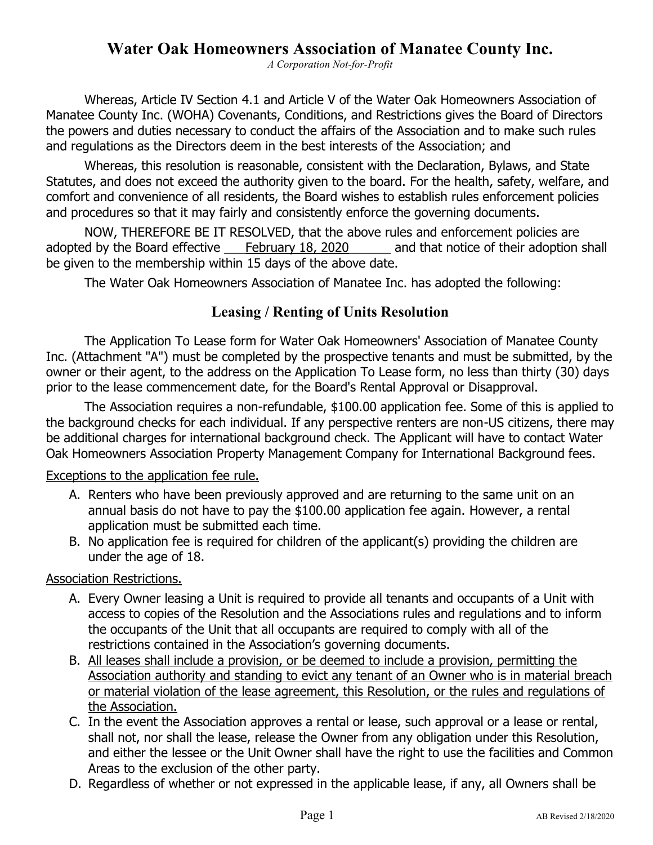# **Water Oak Homeowners Association of Manatee County Inc.**

*A Corporation Not-for-Profit*

Whereas, Article IV Section 4.1 and Article V of the Water Oak Homeowners Association of Manatee County Inc. (WOHA) Covenants, Conditions, and Restrictions gives the Board of Directors the powers and duties necessary to conduct the affairs of the Association and to make such rules and regulations as the Directors deem in the best interests of the Association; and

Whereas, this resolution is reasonable, consistent with the Declaration, Bylaws, and State Statutes, and does not exceed the authority given to the board. For the health, safety, welfare, and comfort and convenience of all residents, the Board wishes to establish rules enforcement policies and procedures so that it may fairly and consistently enforce the governing documents.

NOW, THEREFORE BE IT RESOLVED, that the above rules and enforcement policies are adopted by the Board effective February 18, 2020 and that notice of their adoption shall be given to the membership within 15 days of the above date.

The Water Oak Homeowners Association of Manatee Inc. has adopted the following:

# **Leasing / Renting of Units Resolution**

The Application To Lease form for Water Oak Homeowners' Association of Manatee County Inc. (Attachment "A") must be completed by the prospective tenants and must be submitted, by the owner or their agent, to the address on the Application To Lease form, no less than thirty (30) days prior to the lease commencement date, for the Board's Rental Approval or Disapproval.

The Association requires a non-refundable, \$100.00 application fee. Some of this is applied to the background checks for each individual. If any perspective renters are non-US citizens, there may be additional charges for international background check. The Applicant will have to contact Water Oak Homeowners Association Property Management Company for International Background fees.

## Exceptions to the application fee rule.

- A. Renters who have been previously approved and are returning to the same unit on an annual basis do not have to pay the \$100.00 application fee again. However, a rental application must be submitted each time.
- B. No application fee is required for children of the applicant(s) providing the children are under the age of 18.

## Association Restrictions.

- A. Every Owner leasing a Unit is required to provide all tenants and occupants of a Unit with access to copies of the Resolution and the Associations rules and regulations and to inform the occupants of the Unit that all occupants are required to comply with all of the restrictions contained in the Association's governing documents.
- B. All leases shall include a provision, or be deemed to include a provision, permitting the Association authority and standing to evict any tenant of an Owner who is in material breach or material violation of the lease agreement, this Resolution, or the rules and regulations of the Association.
- C. In the event the Association approves a rental or lease, such approval or a lease or rental, shall not, nor shall the lease, release the Owner from any obligation under this Resolution, and either the lessee or the Unit Owner shall have the right to use the facilities and Common Areas to the exclusion of the other party.
- D. Regardless of whether or not expressed in the applicable lease, if any, all Owners shall be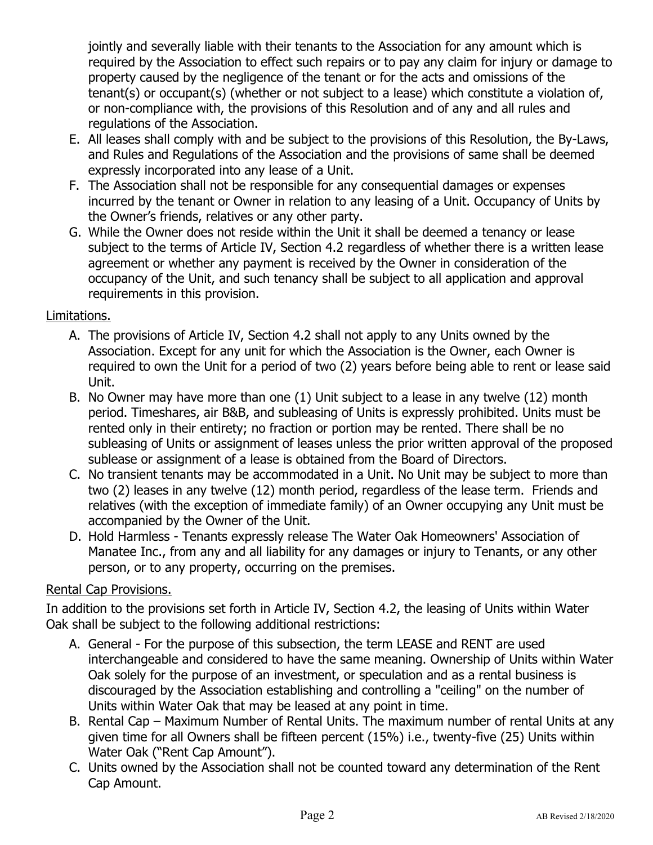jointly and severally liable with their tenants to the Association for any amount which is required by the Association to effect such repairs or to pay any claim for injury or damage to property caused by the negligence of the tenant or for the acts and omissions of the tenant(s) or occupant(s) (whether or not subject to a lease) which constitute a violation of, or non-compliance with, the provisions of this Resolution and of any and all rules and regulations of the Association.

- E. All leases shall comply with and be subject to the provisions of this Resolution, the By-Laws, and Rules and Regulations of the Association and the provisions of same shall be deemed expressly incorporated into any lease of a Unit.
- F. The Association shall not be responsible for any consequential damages or expenses incurred by the tenant or Owner in relation to any leasing of a Unit. Occupancy of Units by the Owner's friends, relatives or any other party.
- G. While the Owner does not reside within the Unit it shall be deemed a tenancy or lease subject to the terms of Article IV, Section 4.2 regardless of whether there is a written lease agreement or whether any payment is received by the Owner in consideration of the occupancy of the Unit, and such tenancy shall be subject to all application and approval requirements in this provision.

# Limitations.

- A. The provisions of Article IV, Section 4.2 shall not apply to any Units owned by the Association. Except for any unit for which the Association is the Owner, each Owner is required to own the Unit for a period of two (2) years before being able to rent or lease said Unit.
- B. No Owner may have more than one (1) Unit subject to a lease in any twelve (12) month period. Timeshares, air B&B, and subleasing of Units is expressly prohibited. Units must be rented only in their entirety; no fraction or portion may be rented. There shall be no subleasing of Units or assignment of leases unless the prior written approval of the proposed sublease or assignment of a lease is obtained from the Board of Directors.
- C. No transient tenants may be accommodated in a Unit. No Unit may be subject to more than two (2) leases in any twelve (12) month period, regardless of the lease term. Friends and relatives (with the exception of immediate family) of an Owner occupying any Unit must be accompanied by the Owner of the Unit.
- D. Hold Harmless Tenants expressly release The Water Oak Homeowners' Association of Manatee Inc., from any and all liability for any damages or injury to Tenants, or any other person, or to any property, occurring on the premises.

## Rental Cap Provisions.

In addition to the provisions set forth in Article IV, Section 4.2, the leasing of Units within Water Oak shall be subject to the following additional restrictions:

- A. General For the purpose of this subsection, the term LEASE and RENT are used interchangeable and considered to have the same meaning. Ownership of Units within Water Oak solely for the purpose of an investment, or speculation and as a rental business is discouraged by the Association establishing and controlling a "ceiling" on the number of Units within Water Oak that may be leased at any point in time.
- B. Rental Cap Maximum Number of Rental Units. The maximum number of rental Units at any given time for all Owners shall be fifteen percent (15%) i.e., twenty-five (25) Units within Water Oak ("Rent Cap Amount").
- C. Units owned by the Association shall not be counted toward any determination of the Rent Cap Amount.